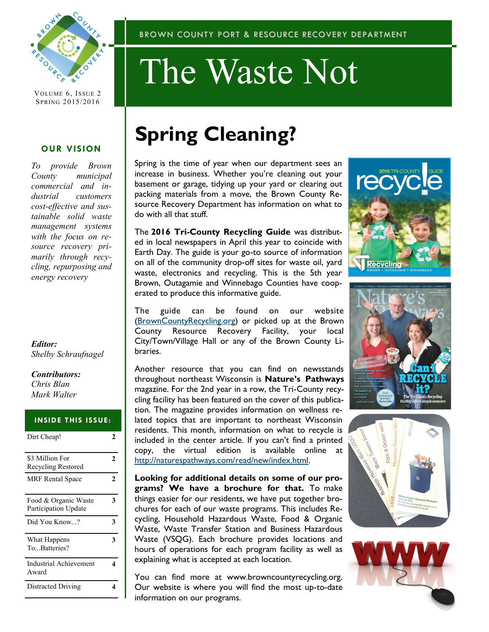

VOLUME 6, ISSUE 2 SPRING 2015/2016

#### **OUR VISION**

*To provide Brown County municipal commercial and industrial customers cost-effective and sustainable solid waste management systems with the focus on resource recovery primarily through recycling, repurposing and energy recovery*

#### *Editor: Shelby Schraufnagel*

*Contributors: Chris Blan Mark Walter*

#### **INSIDE THIS ISSUE:**

| Dirt Cheap!                                  | 7 |
|----------------------------------------------|---|
| \$3 Million For<br>Recycling Restored        | 2 |
| <b>MRF</b> Rental Space                      | 2 |
| Food & Organic Waste<br>Participation Update | 3 |
| Did You Know?                                | 3 |
| What Happens<br>ToBatteries?                 | 3 |
| <b>Industrial Achievement</b><br>Award       |   |
| Distracted Driving                           |   |

# The Waste Not

## **Spring Cleaning?**

Spring is the time of year when our department sees an increase in business. Whether you're cleaning out your basement or garage, tidying up your yard or clearing out packing materials from a move, the Brown County Resource Recovery Department has information on what to do with all that stuff.

The **2016 Tri-County Recycling Guide** was distributed in local newspapers in April this year to coincide with Earth Day. The guide is your go-to source of information on all of the community drop-off sites for waste oil, yard waste, electronics and recycling. This is the 5th year Brown, Outagamie and Winnebago Counties have cooperated to produce this informative guide.

The guide can be found on our website [\(BrownCountyRecycling.org\)](http://www.browncountyrecycling.org/) or picked up at the Brown County Resource Recovery Facility, your local City/Town/Village Hall or any of the Brown County Libraries.

Another resource that you can find on newsstands throughout northeast Wisconsin is **Nature's Pathways**  magazine. For the 2nd year in a row, the Tri-County recycling facility has been featured on the cover of this publication. The magazine provides information on wellness related topics that are important to northeast Wisconsin residents. This month, information on what to recycle is included in the center article. If you can't find a printed copy, the virtual edition is available online at [http://naturespathways.com/read/new/index.html.](http://naturespathways.com/read/new/index.html)

**Looking for additional details on some of our programs? We have a brochure for that.** To make things easier for our residents, we have put together brochures for each of our waste programs. This includes Recycling, Household Hazardous Waste, Food & Organic Waste, Waste Transfer Station and Business Hazardous Waste (VSQG). Each brochure provides locations and hours of operations for each program facility as well as explaining what is accepted at each location.

You can find more at www.browncountyrecycling.org. Our website is where you will find the most up-to-date information on our programs.







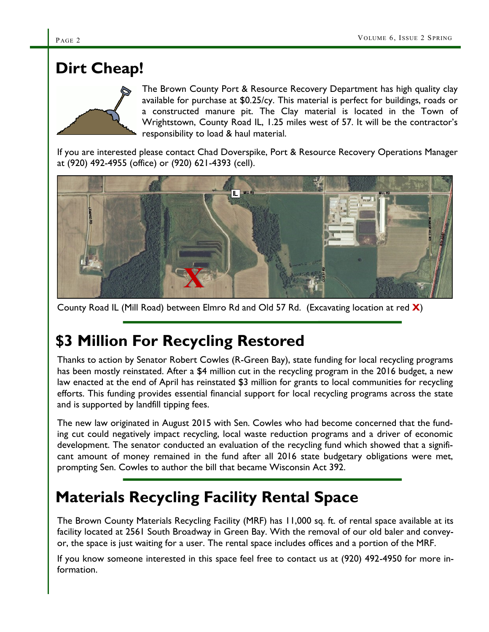## **Dirt Cheap!**



The Brown County Port & Resource Recovery Department has high quality clay available for purchase at \$0.25/cy. This material is perfect for buildings, roads or a constructed manure pit. The Clay material is located in the Town of Wrightstown, County Road IL, 1.25 miles west of 57. It will be the contractor's responsibility to load & haul material.

If you are interested please contact Chad Doverspike, Port & Resource Recovery Operations Manager at (920) 492-4955 (office) or (920) 621-4393 (cell).



County Road IL (Mill Road) between Elmro Rd and Old 57 Rd. (Excavating location at red **X**)

## **\$3 Million For Recycling Restored**

Thanks to action by Senator Robert Cowles (R-Green Bay), state funding for local recycling programs has been mostly reinstated. After a \$4 million cut in the recycling program in the 2016 budget, a new law enacted at the end of April has reinstated \$3 million for grants to local communities for recycling efforts. This funding provides essential financial support for local recycling programs across the state and is supported by landfill tipping fees.

The new law originated in August 2015 with Sen. Cowles who had become concerned that the funding cut could negatively impact recycling, local waste reduction programs and a driver of economic development. The senator conducted an evaluation of the recycling fund which showed that a significant amount of money remained in the fund after all 2016 state budgetary obligations were met, prompting Sen. Cowles to author the bill that became Wisconsin Act 392.

## **Materials Recycling Facility Rental Space**

The Brown County Materials Recycling Facility (MRF) has 11,000 sq. ft. of rental space available at its facility located at 2561 South Broadway in Green Bay. With the removal of our old baler and conveyor, the space is just waiting for a user. The rental space includes offices and a portion of the MRF.

If you know someone interested in this space feel free to contact us at (920) 492-4950 for more information.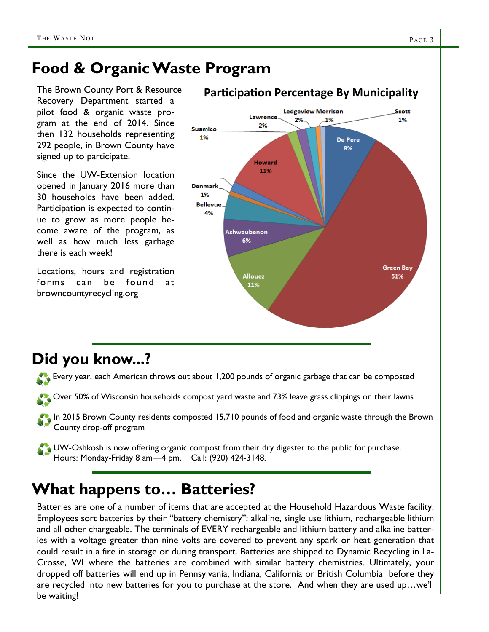## **Food & Organic Waste Program**

The Brown County Port & Resource Recovery Department started a pilot food & organic waste program at the end of 2014. Since then 132 households representing 292 people, in Brown County have signed up to participate.

Since the UW-Extension location opened in January 2016 more than 30 households have been added. Participation is expected to continue to grow as more people become aware of the program, as well as how much less garbage there is each week!

Locations, hours and registration forms can be found at browncountyrecycling.org



## **Did you know...?**

Every year, each American throws out about 1,200 pounds of organic garbage that can be composted

Over 50% of Wisconsin households compost yard waste and 73% leave grass clippings on their lawns

In 2015 Brown County residents composted 15,710 pounds of food and organic waste through the Brown County drop-off program

UW-Oshkosh is now offering organic compost from their dry digester to the public for purchase. Hours: Monday-Friday 8 am—4 pm. | Call: (920) 424-3148.

## **What happens to… Batteries?**

Batteries are one of a number of items that are accepted at the Household Hazardous Waste facility. Employees sort batteries by their "battery chemistry": alkaline, single use lithium, rechargeable lithium and all other chargeable. The terminals of EVERY rechargeable and lithium battery and alkaline batteries with a voltage greater than nine volts are covered to prevent any spark or heat generation that could result in a fire in storage or during transport. Batteries are shipped to Dynamic Recycling in La-Crosse, WI where the batteries are combined with similar battery chemistries. Ultimately, your dropped off batteries will end up in Pennsylvania, Indiana, California or British Columbia before they are recycled into new batteries for you to purchase at the store. And when they are used up…we'll be waiting!